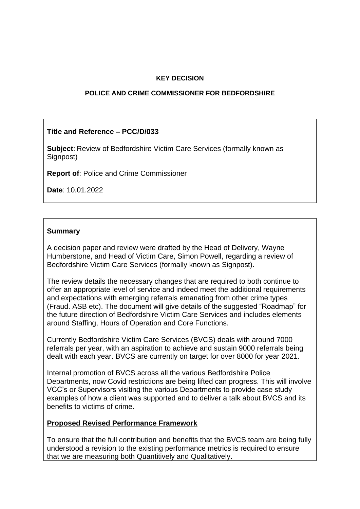## **KEY DECISION**

#### **POLICE AND CRIME COMMISSIONER FOR BEDFORDSHIRE**

# **Title and Reference – PCC/D/033**

**Subject**: Review of Bedfordshire Victim Care Services (formally known as Signpost)

**Report of**: Police and Crime Commissioner

**Date**: 10.01.2022

# **Summary**

A decision paper and review were drafted by the Head of Delivery, Wayne Humberstone, and Head of Victim Care, Simon Powell, regarding a review of Bedfordshire Victim Care Services (formally known as Signpost).

The review details the necessary changes that are required to both continue to offer an appropriate level of service and indeed meet the additional requirements and expectations with emerging referrals emanating from other crime types (Fraud. ASB etc). The document will give details of the suggested "Roadmap" for the future direction of Bedfordshire Victim Care Services and includes elements around Staffing, Hours of Operation and Core Functions.

Currently Bedfordshire Victim Care Services (BVCS) deals with around 7000 referrals per year, with an aspiration to achieve and sustain 9000 referrals being dealt with each year. BVCS are currently on target for over 8000 for year 2021.

Internal promotion of BVCS across all the various Bedfordshire Police Departments, now Covid restrictions are being lifted can progress. This will involve VCC's or Supervisors visiting the various Departments to provide case study examples of how a client was supported and to deliver a talk about BVCS and its benefits to victims of crime.

## **Proposed Revised Performance Framework**

To ensure that the full contribution and benefits that the BVCS team are being fully understood a revision to the existing performance metrics is required to ensure that we are measuring both Quantitively and Qualitatively.